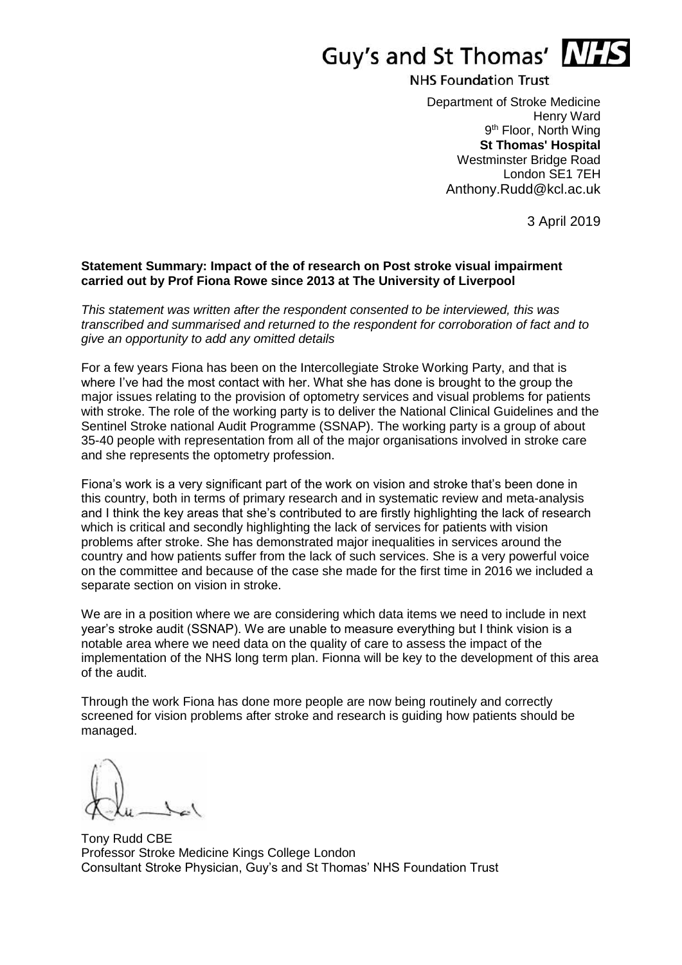

**NHS Foundation Trust** 

Department of Stroke Medicine Henry Ward 9<sup>th</sup> Floor, North Wing **St Thomas' Hospital** Westminster Bridge Road London SE1 7EH Anthony.Rudd@kcl.ac.uk

3 April 2019

## **Statement Summary: Impact of the of research on Post stroke visual impairment carried out by Prof Fiona Rowe since 2013 at The University of Liverpool**

*This statement was written after the respondent consented to be interviewed, this was transcribed and summarised and returned to the respondent for corroboration of fact and to give an opportunity to add any omitted details*

For a few years Fiona has been on the Intercollegiate Stroke Working Party, and that is where I've had the most contact with her. What she has done is brought to the group the major issues relating to the provision of optometry services and visual problems for patients with stroke. The role of the working party is to deliver the National Clinical Guidelines and the Sentinel Stroke national Audit Programme (SSNAP). The working party is a group of about 35-40 people with representation from all of the major organisations involved in stroke care and she represents the optometry profession.

Fiona's work is a very significant part of the work on vision and stroke that's been done in this country, both in terms of primary research and in systematic review and meta-analysis and I think the key areas that she's contributed to are firstly highlighting the lack of research which is critical and secondly highlighting the lack of services for patients with vision problems after stroke. She has demonstrated major inequalities in services around the country and how patients suffer from the lack of such services. She is a very powerful voice on the committee and because of the case she made for the first time in 2016 we included a separate section on vision in stroke.

We are in a position where we are considering which data items we need to include in next year's stroke audit (SSNAP). We are unable to measure everything but I think vision is a notable area where we need data on the quality of care to assess the impact of the implementation of the NHS long term plan. Fionna will be key to the development of this area of the audit.

Through the work Fiona has done more people are now being routinely and correctly screened for vision problems after stroke and research is guiding how patients should be managed.

Tony Rudd CBE Professor Stroke Medicine Kings College London Consultant Stroke Physician, Guy's and St Thomas' NHS Foundation Trust